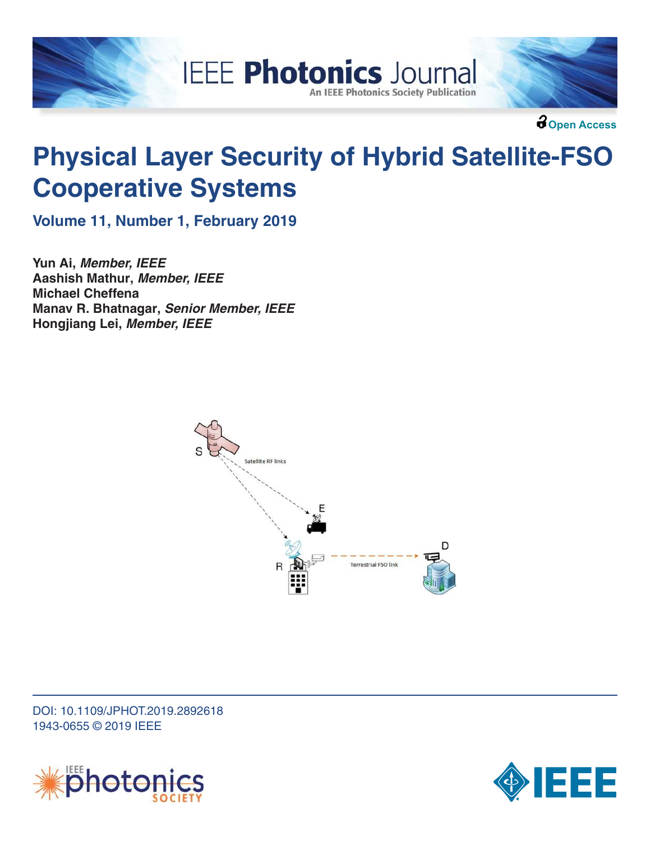



# **Physical Layer Security of Hybrid Satellite-FSO Cooperative Systems**

**Volume 11, Number 1, February 2019**

**Yun Ai, Member, IEEE Aashish Mathur, Member, IEEE Michael Cheffena Manav R. Bhatnagar, Senior Member, IEEE Hongjiang Lei, Member, IEEE**



DOI: 10.1109/JPHOT.2019.2892618 1943-0655 © 2019 IEEE



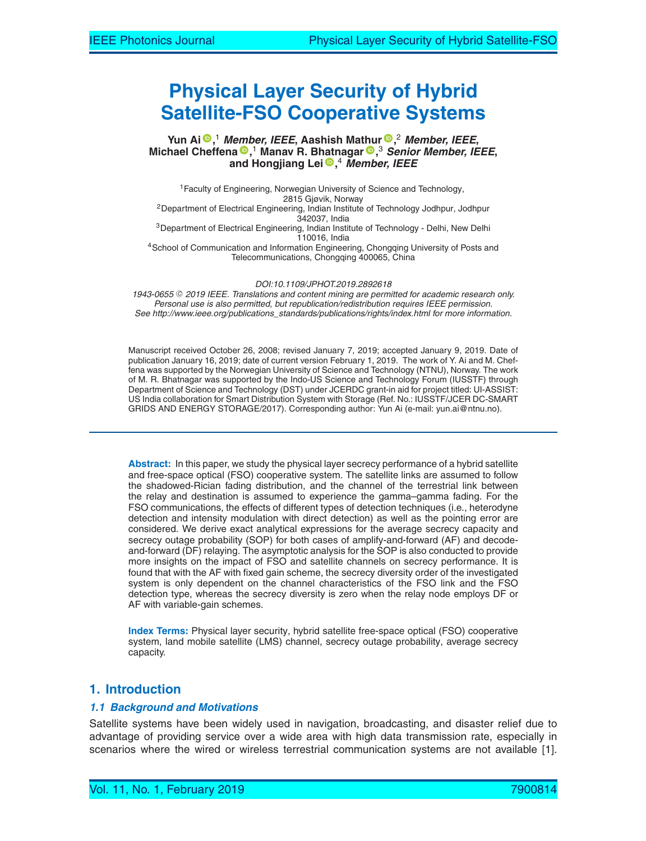# **Physical Layer Security of Hybrid Satellite-FSO Cooperative Systems**

### **Yun Ai ,** <sup>1</sup> **Member, IEEE, Aashish Mathur ,** <sup>2</sup> **Member, IEEE, Michael Cheffena ,** <sup>1</sup> **Manav R. Bhatnagar ,** <sup>3</sup> **Senior Member, IEEE, and Hongjiang Lei ,** <sup>4</sup> **Member, IEEE**

<sup>1</sup> Faculty of Engineering, Norwegian University of Science and Technology, 2815 Gjøvik, Norway <sup>2</sup>Department of Electrical Engineering, Indian Institute of Technology Jodhpur, Jodhpur 342037, India <sup>3</sup>Department of Electrical Engineering, Indian Institute of Technology - Delhi, New Delhi 110016, India <sup>4</sup>School of Communication and Information Engineering, Chongqing University of Posts and Telecommunications, Chongqing 400065, China

*DOI:10.1109/JPHOT.2019.2892618*

1943-0655 © 2019 IEEE. Translations and content mining are permitted for academic research only. *Personal use is also permitted, but republication/redistribution requires IEEE permission. See http://www.ieee.org/publications\_standards/publications/rights/index.html for more information.*

Manuscript received October 26, 2008; revised January 7, 2019; accepted January 9, 2019. Date of publication January 16, 2019; date of current version February 1, 2019. The work of Y. Ai and M. Cheffena was supported by the Norwegian University of Science and Technology (NTNU), Norway. The work of M. R. Bhatnagar was supported by the Indo-US Science and Technology Forum (IUSSTF) through Department of Science and Technology (DST) under JCERDC grant-in aid for project titled: UI-ASSIST: US India collaboration for Smart Distribution System with Storage (Ref. No.: IUSSTF/JCER DC-SMART GRIDS AND ENERGY STORAGE/2017). Corresponding author: Yun Ai (e-mail: yun.ai@ntnu.no).

**Abstract:** In this paper, we study the physical layer secrecy performance of a hybrid satellite and free-space optical (FSO) cooperative system. The satellite links are assumed to follow the shadowed-Rician fading distribution, and the channel of the terrestrial link between the relay and destination is assumed to experience the gamma–gamma fading. For the FSO communications, the effects of different types of detection techniques (i.e., heterodyne detection and intensity modulation with direct detection) as well as the pointing error are considered. We derive exact analytical expressions for the average secrecy capacity and secrecy outage probability (SOP) for both cases of amplify-and-forward (AF) and decodeand-forward (DF) relaying. The asymptotic analysis for the SOP is also conducted to provide more insights on the impact of FSO and satellite channels on secrecy performance. It is found that with the AF with fixed gain scheme, the secrecy diversity order of the investigated system is only dependent on the channel characteristics of the FSO link and the FSO detection type, whereas the secrecy diversity is zero when the relay node employs DF or AF with variable-gain schemes.

**Index Terms:** Physical layer security, hybrid satellite free-space optical (FSO) cooperative system, land mobile satellite (LMS) channel, secrecy outage probability, average secrecy capacity.

# **1. Introduction**

# **1.1 Background and Motivations**

Satellite systems have been widely used in navigation, broadcasting, and disaster relief due to advantage of providing service over a wide area with high data transmission rate, especially in scenarios where the wired or wireless terrestrial communication systems are not available [1].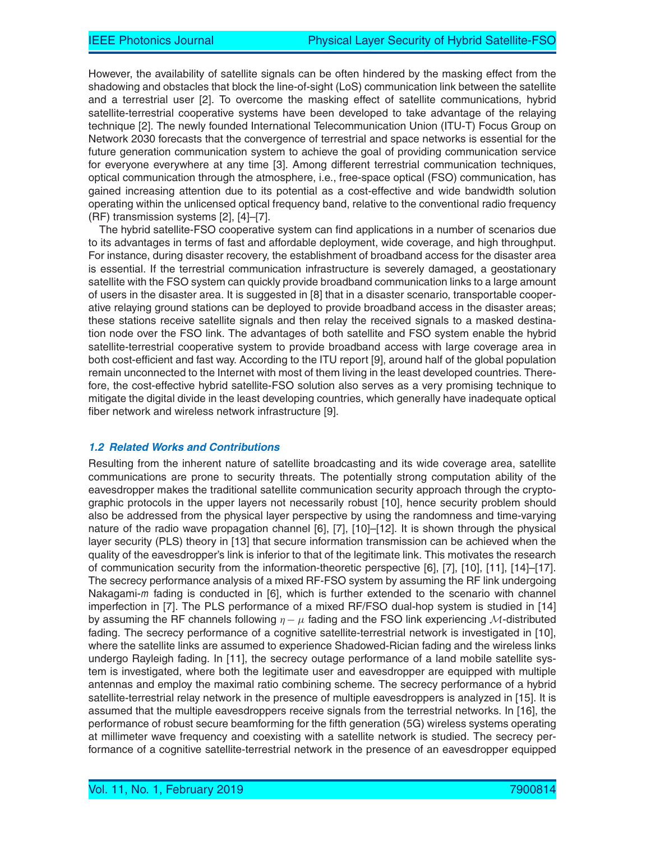However, the availability of satellite signals can be often hindered by the masking effect from the shadowing and obstacles that block the line-of-sight (LoS) communication link between the satellite and a terrestrial user [2]. To overcome the masking effect of satellite communications, hybrid satellite-terrestrial cooperative systems have been developed to take advantage of the relaying technique [2]. The newly founded International Telecommunication Union (ITU-T) Focus Group on Network 2030 forecasts that the convergence of terrestrial and space networks is essential for the future generation communication system to achieve the goal of providing communication service for everyone everywhere at any time [3]. Among different terrestrial communication techniques, optical communication through the atmosphere, i.e., free-space optical (FSO) communication, has gained increasing attention due to its potential as a cost-effective and wide bandwidth solution operating within the unlicensed optical frequency band, relative to the conventional radio frequency (RF) transmission systems [2], [4]–[7].

The hybrid satellite-FSO cooperative system can find applications in a number of scenarios due to its advantages in terms of fast and affordable deployment, wide coverage, and high throughput. For instance, during disaster recovery, the establishment of broadband access for the disaster area is essential. If the terrestrial communication infrastructure is severely damaged, a geostationary satellite with the FSO system can quickly provide broadband communication links to a large amount of users in the disaster area. It is suggested in [8] that in a disaster scenario, transportable cooperative relaying ground stations can be deployed to provide broadband access in the disaster areas; these stations receive satellite signals and then relay the received signals to a masked destination node over the FSO link. The advantages of both satellite and FSO system enable the hybrid satellite-terrestrial cooperative system to provide broadband access with large coverage area in both cost-efficient and fast way. According to the ITU report [9], around half of the global population remain unconnected to the Internet with most of them living in the least developed countries. Therefore, the cost-effective hybrid satellite-FSO solution also serves as a very promising technique to mitigate the digital divide in the least developing countries, which generally have inadequate optical fiber network and wireless network infrastructure [9].

# **1.2 Related Works and Contributions**

Resulting from the inherent nature of satellite broadcasting and its wide coverage area, satellite communications are prone to security threats. The potentially strong computation ability of the eavesdropper makes the traditional satellite communication security approach through the cryptographic protocols in the upper layers not necessarily robust [10], hence security problem should also be addressed from the physical layer perspective by using the randomness and time-varying nature of the radio wave propagation channel [6], [7], [10]–[12]. It is shown through the physical layer security (PLS) theory in [13] that secure information transmission can be achieved when the quality of the eavesdropper's link is inferior to that of the legitimate link. This motivates the research of communication security from the information-theoretic perspective [6], [7], [10], [11], [14]–[17]. The secrecy performance analysis of a mixed RF-FSO system by assuming the RF link undergoing Nakagami-<sup>m</sup> fading is conducted in [6], which is further extended to the scenario with channel imperfection in [7]. The PLS performance of a mixed RF/FSO dual-hop system is studied in [14] by assuming the RF channels following  $\eta - \mu$  fading and the FSO link experiencing M-distributed fading. The secrecy performance of a cognitive satellite-terrestrial network is investigated in [10], where the satellite links are assumed to experience Shadowed-Rician fading and the wireless links undergo Rayleigh fading. In [11], the secrecy outage performance of a land mobile satellite system is investigated, where both the legitimate user and eavesdropper are equipped with multiple antennas and employ the maximal ratio combining scheme. The secrecy performance of a hybrid satellite-terrestrial relay network in the presence of multiple eavesdroppers is analyzed in [15]. It is assumed that the multiple eavesdroppers receive signals from the terrestrial networks. In [16], the performance of robust secure beamforming for the fifth generation (5G) wireless systems operating at millimeter wave frequency and coexisting with a satellite network is studied. The secrecy performance of a cognitive satellite-terrestrial network in the presence of an eavesdropper equipped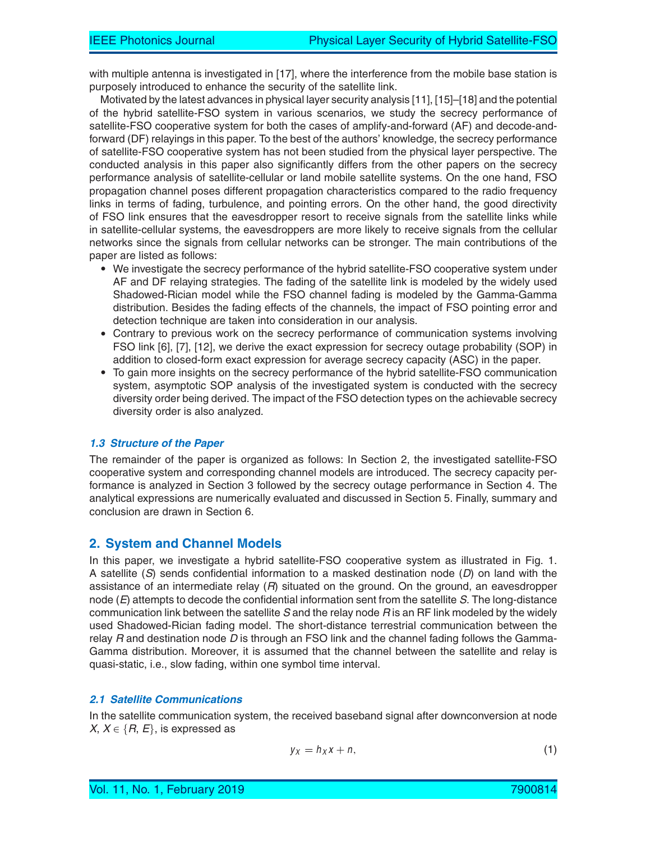with multiple antenna is investigated in [17], where the interference from the mobile base station is purposely introduced to enhance the security of the satellite link.

Motivated by the latest advances in physical layer security analysis [11], [15]–[18] and the potential of the hybrid satellite-FSO system in various scenarios, we study the secrecy performance of satellite-FSO cooperative system for both the cases of amplify-and-forward (AF) and decode-andforward (DF) relayings in this paper. To the best of the authors' knowledge, the secrecy performance of satellite-FSO cooperative system has not been studied from the physical layer perspective. The conducted analysis in this paper also significantly differs from the other papers on the secrecy performance analysis of satellite-cellular or land mobile satellite systems. On the one hand, FSO propagation channel poses different propagation characteristics compared to the radio frequency links in terms of fading, turbulence, and pointing errors. On the other hand, the good directivity of FSO link ensures that the eavesdropper resort to receive signals from the satellite links while in satellite-cellular systems, the eavesdroppers are more likely to receive signals from the cellular networks since the signals from cellular networks can be stronger. The main contributions of the paper are listed as follows:

- We investigate the secrecy performance of the hybrid satellite-FSO cooperative system under AF and DF relaying strategies. The fading of the satellite link is modeled by the widely used Shadowed-Rician model while the FSO channel fading is modeled by the Gamma-Gamma distribution. Besides the fading effects of the channels, the impact of FSO pointing error and detection technique are taken into consideration in our analysis.
- - Contrary to previous work on the secrecy performance of communication systems involving FSO link [6], [7], [12], we derive the exact expression for secrecy outage probability (SOP) in addition to closed-form exact expression for average secrecy capacity (ASC) in the paper.
- To gain more insights on the secrecy performance of the hybrid satellite-FSO communication system, asymptotic SOP analysis of the investigated system is conducted with the secrecy diversity order being derived. The impact of the FSO detection types on the achievable secrecy diversity order is also analyzed.

# **1.3 Structure of the Paper**

The remainder of the paper is organized as follows: In Section 2, the investigated satellite-FSO cooperative system and corresponding channel models are introduced. The secrecy capacity performance is analyzed in Section 3 followed by the secrecy outage performance in Section 4. The analytical expressions are numerically evaluated and discussed in Section 5. Finally, summary and conclusion are drawn in Section 6.

# **2. System and Channel Models**

In this paper, we investigate a hybrid satellite-FSO cooperative system as illustrated in Fig. 1. A satellite (*S*) sends confidential information to a masked destination node (*D*) on land with the assistance of an intermediate relay (*R*) situated on the ground. On the ground, an eavesdropper node (*E*) attempts to decode the confidential information sent from the satellite *S*. The long-distance communication link between the satellite *S* and the relay node *R* is an RF link modeled by the widely used Shadowed-Rician fading model. The short-distance terrestrial communication between the relay *R* and destination node *D* is through an FSO link and the channel fading follows the Gamma-Gamma distribution. Moreover, it is assumed that the channel between the satellite and relay is quasi-static, i.e., slow fading, within one symbol time interval.

# **2.1 Satellite Communications**

In the satellite communication system, the received baseband signal after downconversion at node *X*, *X* ∈ {*R*, *E*}, is expressed as

$$
y_X = h_X x + n,\tag{1}
$$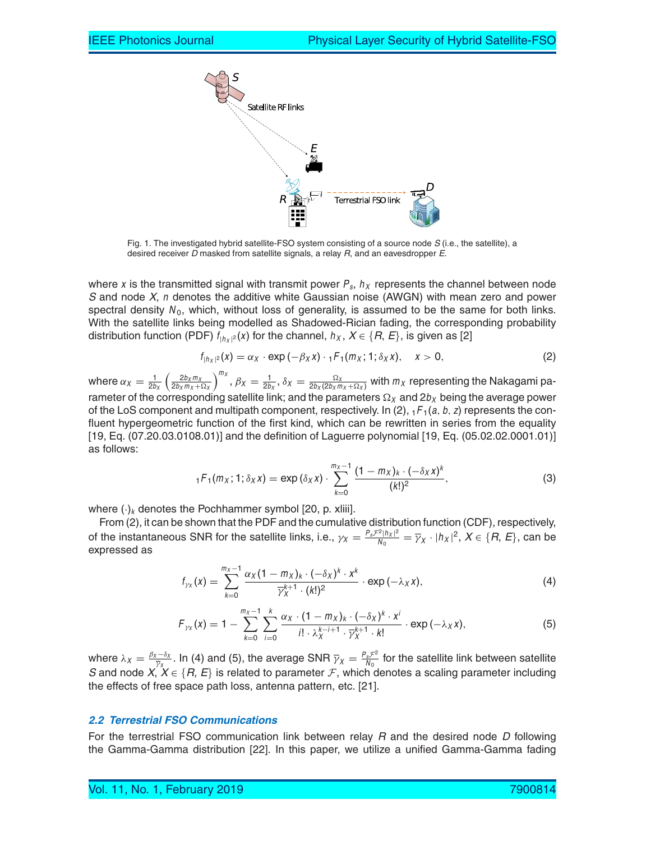

Fig. 1. The investigated hybrid satellite-FSO system consisting of a source node *S* (i.e., the satellite), a desired receiver *D* masked from satellite signals, a relay *R*, and an eavesdropper *E*.

where x is the transmitted signal with transmit power  $P_s$ ,  $h_X$  represents the channel between node *S* and node *X*, *n* denotes the additive white Gaussian noise (AWGN) with mean zero and power spectral density  $N_0$ , which, without loss of generality, is assumed to be the same for both links. With the satellite links being modelled as Shadowed-Rician fading, the corresponding probability distribution function (PDF)  $f_{|h_X|^2}(x)$  for the channel,  $h_X$  ,  $X \in \{R, E\}$ , is given as [2]

$$
f_{|h_X|^2}(x) = \alpha_X \cdot \exp\left(-\beta_X x\right) \cdot {}_1F_1(m_X; 1; \delta_X x), \quad x > 0,
$$
 (2)

where  $\alpha_X = \frac{1}{2b_X} \left( \frac{2b_X m_X}{2b_X m_X + \Omega_X} \right)$  $\int^{m_X}, \beta_X = \frac{1}{2b_X}, \delta_X = \frac{\Omega_X}{2b_X(2b_Xm_X+\Omega_X)}$  with  $m_X$  representing the Nakagami parameter of the corresponding satellite link; and the parameters  $\Omega_X$  and  $2b_X$  being the average power of the LoS component and multipath component, respectively. In (2),  $_1F_1(a, b, z)$  represents the confluent hypergeometric function of the first kind, which can be rewritten in series from the equality [19, Eq. (07.20.03.0108.01)] and the definition of Laguerre polynomial [19, Eq. (05.02.02.0001.01)] as follows:

$$
{}_{1}F_{1}(m_{X}; 1; \delta_{X} x) = \exp (\delta_{X} x) \cdot \sum_{k=0}^{m_{X}-1} \frac{(1-m_{X})_{k} \cdot (-\delta_{X} x)^{k}}{(k!)^{2}}, \qquad (3)
$$

where  $(\cdot)_k$  denotes the Pochhammer symbol [20, p. xliii].

From (2), it can be shown that the PDF and the cumulative distribution function (CDF), respectively, of the instantaneous SNR for the satellite links, i.e.,  $\gamma_X = \frac{P_s \mathcal{F}^2 |h_X|^2}{N_0}$  $\frac{Z|h_X|^2}{N_0} = \overline{\gamma}_X \cdot |h_X|^2, X \in \{R, E\}, \text{ can be}$ expressed as

$$
f_{\gamma_{X}}(x) = \sum_{k=0}^{m_{X}-1} \frac{\alpha_{X}(1-m_{X})_{k} \cdot (-\delta_{X})^{k} \cdot x^{k}}{\overline{\gamma}_{X}^{k+1} \cdot (k!)^{2}} \cdot \exp(-\lambda_{X} x), \qquad (4)
$$

$$
F_{\gamma_X}(x) = 1 - \sum_{k=0}^{m_X-1} \sum_{i=0}^k \frac{\alpha_X \cdot (1 - m_X)_k \cdot (-\delta_X)^k \cdot x^i}{i! \cdot \lambda_X^{k-i+1} \cdot \overline{\gamma}_X^{k+1} \cdot k!} \cdot \exp\left(-\lambda_X x\right),\tag{5}
$$

where  $\lambda_X = \frac{\beta_X - \delta_X}{\overline{\gamma}_X}$ . In (4) and (5), the average SNR  $\overline{\gamma}_X = \frac{P_s \mathcal{F}^2}{N_0}$  $\frac{S^{1/2}}{N_0}$  for the satellite link between satellite *S* and node *X*,  $X \in \{R, E\}$  is related to parameter *F*, which denotes a scaling parameter including the effects of free space path loss, antenna pattern, etc. [21].

# **2.2 Terrestrial FSO Communications**

For the terrestrial FSO communication link between relay *R* and the desired node *D* following the Gamma-Gamma distribution [22]. In this paper, we utilize a unified Gamma-Gamma fading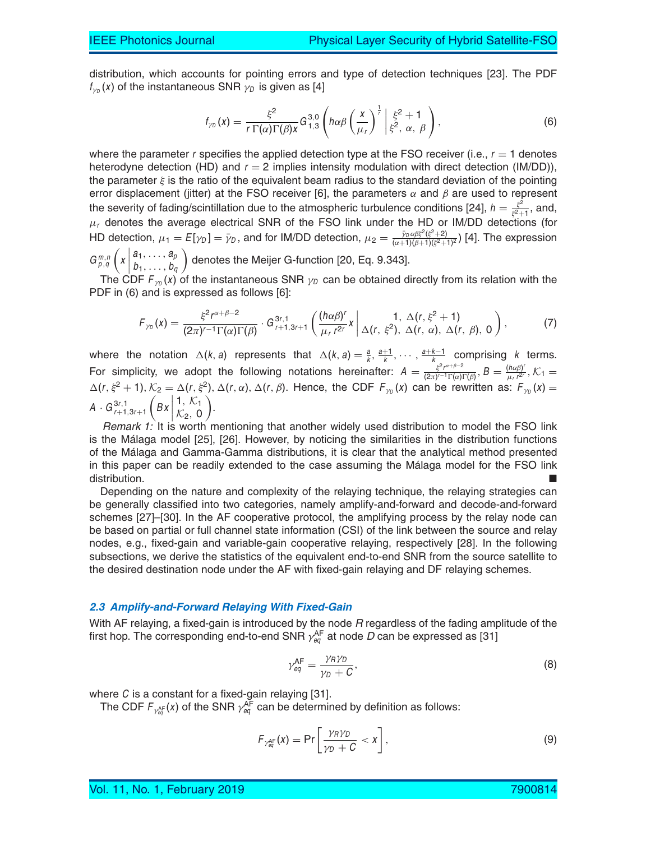distribution, which accounts for pointing errors and type of detection techniques [23]. The PDF  $f_{\gamma_{\mathcal{D}}}(x)$  of the instantaneous SNR  $\gamma_{\mathcal{D}}$  is given as [4]

$$
f_{\gamma_D}(x) = \frac{\xi^2}{r \Gamma(\alpha) \Gamma(\beta) x} G_{1,3}^{3,0} \left( h \alpha \beta \left( \frac{x}{\mu_r} \right)^{\frac{1}{r}} \bigg| \frac{\xi^2 + 1}{\xi^2, \alpha, \beta} \right), \tag{6}
$$

where the parameter r specifies the applied detection type at the FSO receiver (i.e.,  $r = 1$  denotes heterodyne detection (HD) and  $r = 2$  implies intensity modulation with direct detection (IM/DD)), the parameter  $\xi$  is the ratio of the equivalent beam radius to the standard deviation of the pointing error displacement (jitter) at the FSO receiver [6], the parameters  $\alpha$  and  $\beta$  are used to represent the severity of fading/scintillation due to the atmospheric turbulence conditions [24],  $h=\frac{\dot{\xi}^2}{\xi^2+1}$  $\frac{\xi^2}{\xi^2+1}$ , and,  $\mu_r$  denotes the average electrical SNR of the FSO link under the HD or IM/DD detections (for HD detection,  $\mu_1=E[\gamma_D]=\bar{\gamma}_D$ , and for IM/DD detection,  $\mu_2=\frac{\bar{\gamma}_D\alpha\beta\xi^2(\xi^2+2)}{(\alpha+1)(\beta+1)(\xi^2+1)}$  $\frac{\gamma_0 \alpha p_{\mathcal{S}} - (g^2 + 2)}{(\alpha+1)(\beta+1)(\beta^2+1)^2}$ ) [4]. The expression  $G^{m,n}_{p,q}$  $\left(x\right)$  $a_1, \ldots, a_p$  $\big)$  denotes the Meijer G-function [20, Eq. 9.343].

The CDF  $F_{\gamma_D}(x)$  of the instantaneous SNR  $\gamma_D$  can be obtained directly from its relation with the  $b_1,\ldots, b_q$ PDF in (6) and is expressed as follows [6]:

$$
F_{\gamma_D}(x)=\frac{\xi^2 r^{\alpha+\beta-2}}{(2\pi)^{r-1}\Gamma(\alpha)\Gamma(\beta)}\cdot G_{r+1,3r+1}^{3r,1}\left(\frac{(h\alpha\beta)^r}{\mu_r r^{2r}}x\bigg|_{\Delta(r,\xi^2),\Delta(r,\alpha),\Delta(r,\beta),0}\right),\tag{7}
$$

where the notation  $\Delta(k, a)$  represents that  $\Delta(k, a) = \frac{a}{k}, \frac{a+1}{k}, \cdots, \frac{a+k-1}{k}$  comprising k terms. For simplicity, we adopt the following notations hereinafter:  $A = \frac{\xi^2 r^{\alpha+\beta-2}}{(2\pi)^{\prime-1}\Gamma(\alpha)}$  $\frac{\xi^2 I^{\alpha+\beta-2}}{(2\pi)^{r-1}\Gamma(\alpha)\Gamma(\beta)},$   $B=\frac{(\hbar\alpha\beta)^r}{\mu_r\,t^{2r}}$  $\frac{(\text{map})}{\mu_r r^{2r}}, \mathcal{K}_1 =$  $\Delta(r, \xi^2+1), \mathcal{K}_2=\Delta(r, \xi^2), \Delta(r, \alpha), \Delta(r, \beta)$ . Hence, the CDF  $F_{\gamma_0}(x)$  can be rewritten as:  $F_{\gamma_0}(x)=$  $A \cdot G_{r+1,3r+1}^{3r,1}$  $\left(\begin{matrix} Bx \\ y\end{matrix}\right)$ 1,  $K_1$  $\mathcal{K}_2$ , 0 .

*Remark 1:* It is worth mentioning that another widely used distribution to model the FSO link is the Malaga model [25], [26]. However, by noticing the similarities in the distribution functions ´ of the Malaga and Gamma-Gamma distributions, it is clear that the analytical method presented ´ in this paper can be readily extended to the case assuming the Málaga model for the FSO link distribution.

Depending on the nature and complexity of the relaying technique, the relaying strategies can be generally classified into two categories, namely amplify-and-forward and decode-and-forward schemes [27]–[30]. In the AF cooperative protocol, the amplifying process by the relay node can be based on partial or full channel state information (CSI) of the link between the source and relay nodes, e.g., fixed-gain and variable-gain cooperative relaying, respectively [28]. In the following subsections, we derive the statistics of the equivalent end-to-end SNR from the source satellite to the desired destination node under the AF with fixed-gain relaying and DF relaying schemes.

# **2.3 Amplify-and-Forward Relaying With Fixed-Gain**

With AF relaying, a fixed-gain is introduced by the node *R* regardless of the fading amplitude of the first hop. The corresponding end-to-end SNR  $\gamma^\mathsf{AF}_{\mathsf{eq}}$  at node  $D$  can be expressed as [31]

$$
\gamma_{eq}^{AF} = \frac{\gamma_R \gamma_D}{\gamma_D + C},\tag{8}
$$

where C is a constant for a fixed-gain relaying [31].

The CDF  $F_{\gamma^{\mathbb{A}^{\mathbb{F}}_{eq}}_{\text{eq}}}(\textsf{x})$  of the SNR  $\gamma^{\mathbb{A}^{\mathbb{F}}_{eq}}_{\text{eq}}$  can be determined by definition as follows:

$$
F_{\gamma_{eq}^{AF}}(x) = \Pr\left[\frac{\gamma_R \gamma_D}{\gamma_D + C} < x\right],\tag{9}
$$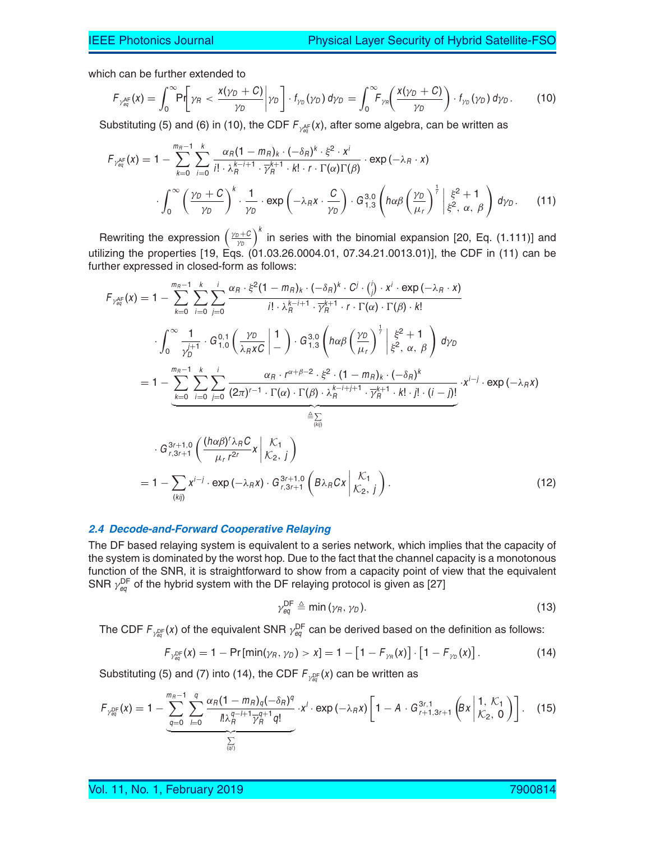which can be further extended to

$$
F_{\gamma_{eq}^{AF}}(x) = \int_0^\infty P\left[\gamma_B < \frac{x(\gamma_D + C)}{\gamma_D}\middle| \gamma_D\right] \cdot f_{\gamma_D}(\gamma_D) \, d\gamma_D = \int_0^\infty F_{\gamma_B}\left(\frac{x(\gamma_D + C)}{\gamma_D}\right) \cdot f_{\gamma_D}(\gamma_D) \, d\gamma_D. \tag{10}
$$

Substituting (5) and (6) in (10), the CDF  $\mathit{\mathsf{F}_{\gamma^{\text{AF}}_{eq}}} (x)$ , after some algebra, can be written as

$$
F_{\gamma_{eq}^{AF}}(x) = 1 - \sum_{k=0}^{m_R-1} \sum_{i=0}^k \frac{\alpha_R (1 - m_R)_k \cdot (-\delta_R)^k \cdot \xi^2 \cdot x^i}{i! \cdot \lambda_R^{k-i+1} \cdot \overline{\gamma}_R^{k+1} \cdot k! \cdot r \cdot \Gamma(\alpha) \Gamma(\beta)} \cdot \exp(-\lambda_R \cdot x)
$$

$$
\cdot \int_0^\infty \left(\frac{\gamma_D + C}{\gamma_D}\right)^k \cdot \frac{1}{\gamma_D} \cdot \exp\left(-\lambda_R x \cdot \frac{C}{\gamma_D}\right) \cdot G_{1,3}^{3,0} \left(\hbar \alpha \beta \left(\frac{\gamma_D}{\mu_r}\right)^{\frac{1}{r}} \bigg| \frac{\xi^2 + 1}{\xi^2, \alpha, \beta}\right) d\gamma_D. \tag{11}
$$

Rewriting the expression  $\left(\frac{\gamma_D+C}{\gamma_D}\right)^k$  in series with the binomial expansion [20, Eq. (1.111)] and utilizing the properties [19, Eqs. (01.03.26.0004.01, 07.34.21.0013.01)], the CDF in (11) can be further expressed in closed-form as follows:

$$
F_{\gamma_{eq}^{AF}}(x) = 1 - \sum_{k=0}^{m_R-1} \sum_{i=0}^{k} \sum_{j=0}^{i} \frac{\alpha_R \cdot \xi^2 (1 - m_R)_k \cdot (-\delta_R)^k \cdot C^j \cdot {i \choose j} \cdot x^i \cdot \exp(-\lambda_R \cdot x)}{i! \cdot \lambda_R^{k-i+1} \cdot \overline{\gamma}_R^{k+1} \cdot r \cdot \Gamma(\alpha) \cdot \Gamma(\beta) \cdot k!}
$$
  

$$
\cdot \int_0^{\infty} \frac{1}{\gamma_D^{j+1}} \cdot G_{1,0}^{0,1} \left( \frac{\gamma_D}{\lambda_R xC} \Big|_0^1 - \right) \cdot G_{1,3}^{3,0} \left( h\alpha \beta \left( \frac{\gamma_D}{\mu_r} \right)^{\frac{1}{r}} \Big|_s^{\xi^2} + 1 \right) d\gamma_D
$$
  

$$
= 1 - \sum_{k=0}^{m_R-1} \sum_{i=0}^{k} \sum_{j=0}^{i} \frac{\alpha_R \cdot r^{\alpha+\beta-2} \cdot \xi^2 \cdot (1 - m_R)_k \cdot (-\delta_R)^k}{(2\pi)^{r-1} \cdot \Gamma(\alpha) \cdot \Gamma(\beta) \cdot \lambda_R^{k-i+j+1} \cdot \overline{\gamma}_R^{k+1} \cdot k! \cdot j! \cdot (i-j)!} \cdot x^{i-j} \cdot \exp(-\lambda_R x)
$$
  

$$
\triangleq \sum_{i,j} \sum_{j=1}^{m_R-1} \sum_{j=0}^{i} \frac{(h\alpha \beta)^r \lambda_R C}{\mu_r r^{2r}} x \Big|_{K_{2},j}^{K_{1}} \right)
$$
  

$$
= 1 - \sum_{(kij)} x^{i-j} \cdot \exp(-\lambda_R x) \cdot G_{r,3r+1}^{3r+1,0} \left( B\lambda_R C x \Big|_{K_{2},j}^{K_{1}} \right).
$$
 (12)

#### **2.4 Decode-and-Forward Cooperative Relaying**

The DF based relaying system is equivalent to a series network, which implies that the capacity of the system is dominated by the worst hop. Due to the fact that the channel capacity is a monotonous function of the SNR, it is straightforward to show from a capacity point of view that the equivalent SNR  $\gamma_{eq}^{\text{DF}}$  of the hybrid system with the DF relaying protocol is given as [27]

$$
\gamma_{eq}^{\text{DF}} \triangleq \min(\gamma_R, \gamma_D). \tag{13}
$$

The CDF  $F_{\gamma_{eq}^{DF}}(x)$  of the equivalent SNR  $\gamma_{eq}^{DF}$  can be derived based on the definition as follows:

$$
F_{\gamma_{eq}^{DF}}(x) = 1 - \Pr[\min(\gamma_R, \gamma_D) > x] = 1 - [1 - F_{\gamma_R}(x)] \cdot [1 - F_{\gamma_D}(x)]. \tag{14}
$$

Substituting (5) and (7) into (14), the CDF  $\mathsf{F}_{\gamma_{\mathrm{eff}}^{\mathrm{DF}}}(x)$  can be written as

$$
F_{\gamma_{eq}^{DF}}(x) = 1 - \underbrace{\sum_{q=0}^{m_R-1} \sum_{l=0}^q \frac{\alpha_R (1 - m_R)_q (-\delta_R)^q}{l! \lambda_R^{q-l+1} \overline{\gamma}_R^{q+1} q!} \cdot x^l \cdot \exp(-\lambda_R x) \left[ 1 - A \cdot G_{r+1,3r+1}^{3r,1} \left( Bx \Big| \begin{array}{c} 1, \mathcal{K}_1 \\ \mathcal{K}_2, 0 \end{array} \right) \right]. \tag{15}
$$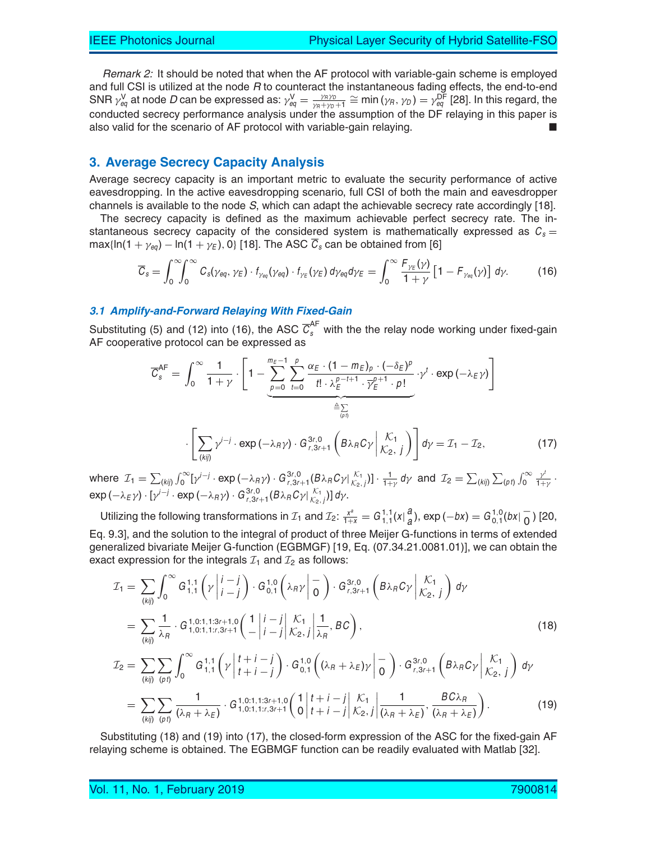*Remark 2:* It should be noted that when the AF protocol with variable-gain scheme is employed and full CSI is utilized at the node *R* to counteract the instantaneous fading effects, the end-to-end SNR  $\gamma^{\sf V}_{\sf eq}$  at node  $D$  can be expressed as:  $\gamma^{\sf V}_{\sf eq} = \frac{\gamma_R \gamma_D}{\gamma_R + \gamma_D}$  $\frac{\gamma_R \gamma_D}{\gamma_R + \gamma_D + 1} \cong \min(\gamma_R, \gamma_D) = \gamma_{eq}^{DF}$  [28]. In this regard, the conducted secrecy performance analysis under the assumption of the DF relaying in this paper is also valid for the scenario of AF protocol with variable-gain relaying.

# **3. Average Secrecy Capacity Analysis**

Average secrecy capacity is an important metric to evaluate the security performance of active eavesdropping. In the active eavesdropping scenario, full CSI of both the main and eavesdropper channels is available to the node *S*, which can adapt the achievable secrecy rate accordingly [18].

The secrecy capacity is defined as the maximum achievable perfect secrecy rate. The instantaneous secrecy capacity of the considered system is mathematically expressed as  $C_s =$ max{ln(1 +  $\gamma_{eq}$ ) – ln(1 +  $\gamma_E$ ), 0} [18]. The ASC  $\overline{C}_s$  can be obtained from [6]

$$
\overline{C}_s = \int_0^\infty \int_0^\infty C_s(\gamma_{eq}, \gamma_E) \cdot f_{\gamma_{eq}}(\gamma_{eq}) \cdot f_{\gamma_E}(\gamma_E) d\gamma_{eq} d\gamma_E = \int_0^\infty \frac{F_{\gamma_E}(\gamma)}{1+\gamma} \left[1 - F_{\gamma_{eq}}(\gamma)\right] d\gamma. \tag{16}
$$

# **3.1 Amplify-and-Forward Relaying With Fixed-Gain**

Substituting (5) and (12) into (16), the ASC  $\overline{C}_{s}^{\text{AF}}$  with the the relay node working under fixed-gain AF cooperative protocol can be expressed as

$$
\overline{C}_{s}^{\text{AF}} = \int_{0}^{\infty} \frac{1}{1+\gamma} \cdot \left[ 1 - \underbrace{\sum_{p=0}^{m_{E}-1} \sum_{t=0}^{p} \frac{\alpha_{E} \cdot (1-m_{E})_{p} \cdot (-\delta_{E})^{p}}{t! \cdot \lambda_{E}^{p-t+1} \cdot \overline{\gamma}_{E}^{p+1} \cdot p!}}_{\equiv \sum_{(p\eta)} \cdot \left( \sum_{(kij)} \gamma^{i-j} \cdot \exp(-\lambda_{R}\gamma) \cdot G_{r,3r+1}^{3r,0} \left( \beta \lambda_{R} C \gamma \middle| \frac{\mathcal{K}_{1}}{\mathcal{K}_{2}, j} \right) \right] d\gamma = \mathcal{I}_{1} - \mathcal{I}_{2}, \qquad (17)
$$

where  $\mathcal{I}_1 = \sum_{(kij)} \int_0^\infty [\gamma^{i-j} \cdot \exp(-\lambda_R \gamma) \cdot G_{r,3r+1}^{3r,0}(\beta \lambda_R C \gamma |_{\mathcal{K}_{2},j}^{\mathcal{K}_1})] \cdot \frac{1}{1+\gamma} d\gamma$  and  $\mathcal{I}_2 = \sum_{(kij)} \sum_{(\rho t)} \int_0^\infty \frac{\gamma^{i-1}}{1+\gamma} d\gamma d\beta$  $\frac{1}{1+\gamma}$  $\exp(-\lambda_E \gamma) \cdot [\gamma^{i-j} \cdot \exp(-\lambda_R \gamma) \cdot G_{r,3r+1}^{3r,0}(\beta \lambda_R C \gamma |_{\mathcal{K}_{2},j}^{\mathcal{K}_1})] d\gamma.$ 

Utilizing the following transformations in  $\mathcal{I}_1$  and  $\mathcal{I}_2$ :  $\frac{x^a}{1+x} = G_{1,1}^{1,1}(x) \frac{a}{a}$  $\binom{a}{a}$ , exp (-bx) =  $G_{0,1}^{1,0}(bx|\overline{0})$  [20, Eq. 9.3], and the solution to the integral of product of three Meijer G-functions in terms of extended generalized bivariate Meijer G-function (EGBMGF) [19, Eq. (07.34.21.0081.01)], we can obtain the exact expression for the integrals  $\mathcal{I}_1$  and  $\mathcal{I}_2$  as follows:

$$
\mathcal{I}_{1} = \sum_{(ki)} \int_{0}^{\infty} G_{1,1}^{1,1} \left( \gamma \left| \begin{array}{c} i - j \\ i - j \end{array} \right) \cdot G_{0,1}^{1,0} \left( \lambda_{R} \gamma \left| \begin{array}{c} - \\ 0 \end{array} \right) \cdot G_{r,3r+1}^{3r,0} \left( B \lambda_{R} C \gamma \left| \begin{array}{c} K_{1} \\ K_{2}, j \end{array} \right) \right) dy \n= \sum_{(ki)} \frac{1}{\lambda_{R}} \cdot G_{1,0:1,1:1:3r+1,0}^{1,0,1,1:3r+1,0} \left( \frac{1}{i - j} \left| \begin{array}{c} K_{1} \\ K_{2}, j \end{array} \right| \frac{1}{\lambda_{R}}, BC \right), \n\mathcal{I}_{2} = \sum_{(kij)} \sum_{(p,t)} \int_{0}^{\infty} G_{1,1}^{1,1} \left( \gamma \left| \begin{array}{c} t + i - j \\ t + i - j \end{array} \right) \cdot G_{0,1}^{1,0} \left( (\lambda_{R} + \lambda_{E}) \gamma \left| \begin{array}{c} - \\ 0 \end{array} \right) \cdot G_{r,3r+1}^{3r,0} \left( B \lambda_{R} C \gamma \left| \begin{array}{c} K_{1} \\ K_{2}, j \end{array} \right) \right) dy \n= \sum_{(kij)} \sum_{(p,t)} \frac{1}{(\lambda_{R} + \lambda_{E})} \cdot G_{1,0:1,1:3r+1,0}^{1,0,1,1:3r+1,0} \left( \frac{1}{0} \left| \begin{array}{c} t + i - j \\ t + i - j \end{array} \right| \begin{array}{c} K_{1} \\ K_{2}, j \end{array} \right| \frac{1}{(\lambda_{R} + \lambda_{E})}, \frac{BC \lambda_{R}}{(\lambda_{R} + \lambda_{E})}. \tag{19}
$$

Substituting (18) and (19) into (17), the closed-form expression of the ASC for the fixed-gain AF relaying scheme is obtained. The EGBMGF function can be readily evaluated with Matlab [32].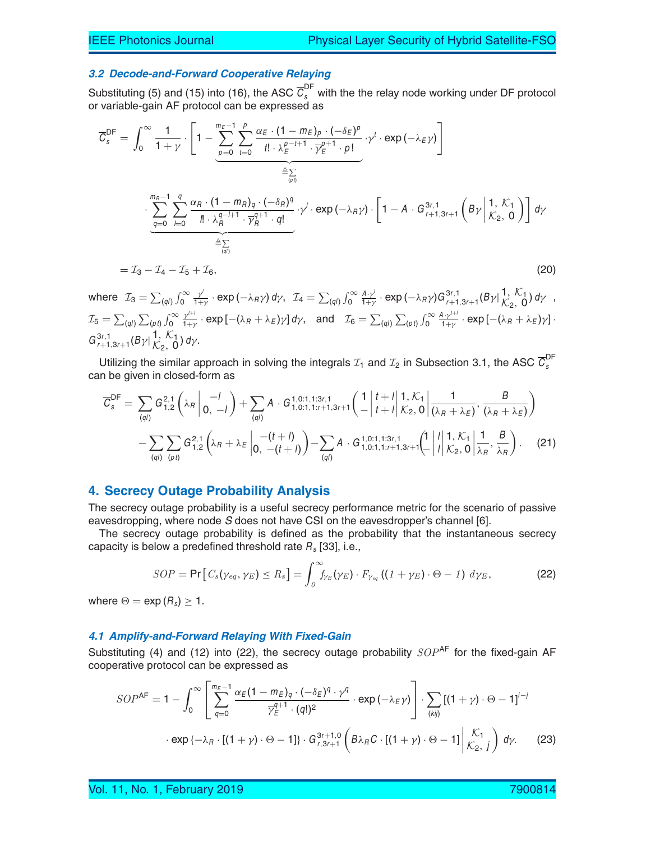# **3.2 Decode-and-Forward Cooperative Relaying**

Substituting (5) and (15) into (16), the ASC  $\overline{C}_{s}^{\text{DF}}$  with the the relay node working under DF protocol or variable-gain AF protocol can be expressed as

$$
\overline{C}_{s}^{\text{DF}} = \int_{0}^{\infty} \frac{1}{1+\gamma} \cdot \left[ 1 - \sum_{\rho=0}^{m_{E}-1} \sum_{t=0}^{\rho} \frac{\alpha_{E} \cdot (1-m_{E})_{\rho} \cdot (-\delta_{E})^{\rho}}{t! \cdot \lambda_{E}^{\rho-t+1} \cdot \overline{\gamma}_{E}^{\rho+1} \cdot \rho!} \cdot \gamma^{t} \cdot \exp(-\lambda_{E}\gamma) \right]
$$
\n
$$
\triangleq \sum_{\substack{q=0 \ p>0}}^{m_{R}-1} \sum_{t=0}^{q} \frac{\alpha_{R} \cdot (1-m_{R})_{q} \cdot (-\delta_{R})^{q}}{1 \cdot \lambda_{R}^{q-t+1} \cdot \overline{\gamma}_{R}^{q+1} \cdot q!} \cdot \gamma^{t} \cdot \exp(-\lambda_{R}\gamma) \cdot \left[ 1 - A \cdot G_{r+1,3r+1}^{3r,1} \left( B\gamma \middle| \begin{array}{c} 1, \mathcal{K}_{1} \\ \mathcal{K}_{2}, 0 \end{array} \right) \right] d\gamma
$$
\n
$$
= \sum_{\substack{\alpha=0 \ p>0}}^{\infty} \sum_{t=0}^{\infty} \sum_{\substack{(\alpha \beta) \\ (\alpha \beta) \\ (\beta \gamma) \\ (\beta \gamma) \\ (\gamma \gamma) = 0}}^{\infty} (20)
$$

where  $\mathcal{I}_3 = \sum_{(q l)} \int_0^\infty \frac{\gamma^l}{1+\gamma^l}$  $\frac{\gamma'}{1+\gamma} \cdot \exp(-\lambda_R \gamma) d\gamma$ ,  $\mathcal{I}_4 = \sum_{(q_l)} \int_0^\infty \frac{A \cdot \gamma'}{1+\gamma}$  $\frac{A\cdot \gamma^l}{1+\gamma} \cdot \exp{(-\lambda_R \gamma)} G^{3r,1}_{r+1,3r+1}(B \gamma | \frac{1}{\mathcal{K}_2}, \frac{\mathcal{K}_1}{0})$  $\mathcal{K}_2$ ,  $\mathcal{O}$ ) d $\gamma$ ,  $\mathcal{I}_5 = \sum_{(q l)} \sum_{(p \, t)} \int_0^\infty \frac{\gamma^{t+l}}{1+\gamma}$  $\frac{y^{t+l}}{1+y}$  · exp  $[-(\lambda_B + \lambda_E)y] \, dy$ , and  $\mathcal{I}_6 = \sum_{(q_l)} \sum_{(p_l)} \int_0^\infty \frac{A \cdot y^{t+l}}{1+y}$  $\frac{1+\gamma+1}{1+\gamma}$  · exp  $[-(\lambda_R + \lambda_E)\gamma]$  ·  $G_{\it r+1,3r+1}^{\it 3r,1}(B_{\it \gamma}|\begin{array}{c} 1,\ {\cal K}_1\ {\cal K}_2,\ 0 \end{array}$  $\int_{\mathcal{K}_2}^{1, \sqrt{1}} 0 \, d\gamma$ .

Utilizing the similar approach in solving the integrals  $\mathcal{I}_1$  and  $\mathcal{I}_2$  in Subsection 3.1, the ASC  $\overline{\mathcal{C}}^{\sf DF}_s$ can be given in closed-form as

$$
\overline{C}_{s}^{\text{DF}} = \sum_{(ql)} G_{1,2}^{2,1} \left( \lambda_{R} \left| \begin{matrix} -l \\ 0, -l \end{matrix} \right| + \sum_{(ql)} A \cdot G_{1,0:1,1:1:T+1,3r+1}^{1,0:1,1:3r,1} \left( \begin{matrix} 1 & | & t+1 \\ -l & l+1 \end{matrix} \right| \begin{matrix} K_{1} \\ K_{2}, 0 \end{matrix} \right| \frac{1}{(\lambda_{R} + \lambda_{E})}, \frac{B}{(\lambda_{R} + \lambda_{E})} \right) \\
-\sum_{(ql)} \sum_{(p1)} G_{1,2}^{2,1} \left( \lambda_{R} + \lambda_{E} \left| \begin{matrix} -(t+l) \\ 0, -(t+l) \end{matrix} \right) - \sum_{(ql)} A \cdot G_{1,0:1,1:3r,1}^{1,0:1,1:3r,1} \left( \begin{matrix} 1 & | & t \\ l & | & K_{2}, 0 \end{matrix} \right| \frac{1}{\lambda_{R}}, \frac{B}{\lambda_{R}} \right). \tag{21}
$$

# **4. Secrecy Outage Probability Analysis**

The secrecy outage probability is a useful secrecy performance metric for the scenario of passive eavesdropping, where node *S* does not have CSI on the eavesdropper's channel [6].

The secrecy outage probability is defined as the probability that the instantaneous secrecy capacity is below a predefined threshold rate  $R_s$  [33], i.e.,

$$
SOP = \Pr\left[C_s(\gamma_{eq}, \gamma_E) \le R_s\right] = \int_0^\infty f_{\gamma_E}(\gamma_E) \cdot F_{\gamma_{eq}}\left((1+\gamma_E)\cdot\Theta - 1\right) d\gamma_E,\tag{22}
$$

where  $\Theta = \exp(R_s) \geq 1$ .

#### **4.1 Amplify-and-Forward Relaying With Fixed-Gain**

Substituting (4) and (12) into (22), the secrecy outage probability  $SOP<sup>AF</sup>$  for the fixed-gain AF cooperative protocol can be expressed as

$$
SOP^{AF} = 1 - \int_0^\infty \left[ \sum_{q=0}^{m_E - 1} \frac{\alpha_E (1 - m_E)_q \cdot (-\delta_E)^q \cdot \gamma^q}{\overline{\gamma}_E^{q+1} \cdot (q!)^2} \cdot \exp(-\lambda_E \gamma) \right] \cdot \sum_{(kij)} [(1 + \gamma) \cdot \Theta - 1]^{i-j}
$$

$$
\cdot \exp\{-\lambda_R \cdot [(1 + \gamma) \cdot \Theta - 1]\} \cdot G_{r, 3r+1}^{3r+1, 0} \left(B\lambda_R C \cdot [(1 + \gamma) \cdot \Theta - 1] \Big| \frac{\mathcal{K}_1}{\mathcal{K}_2, j} \right) d\gamma. \tag{23}
$$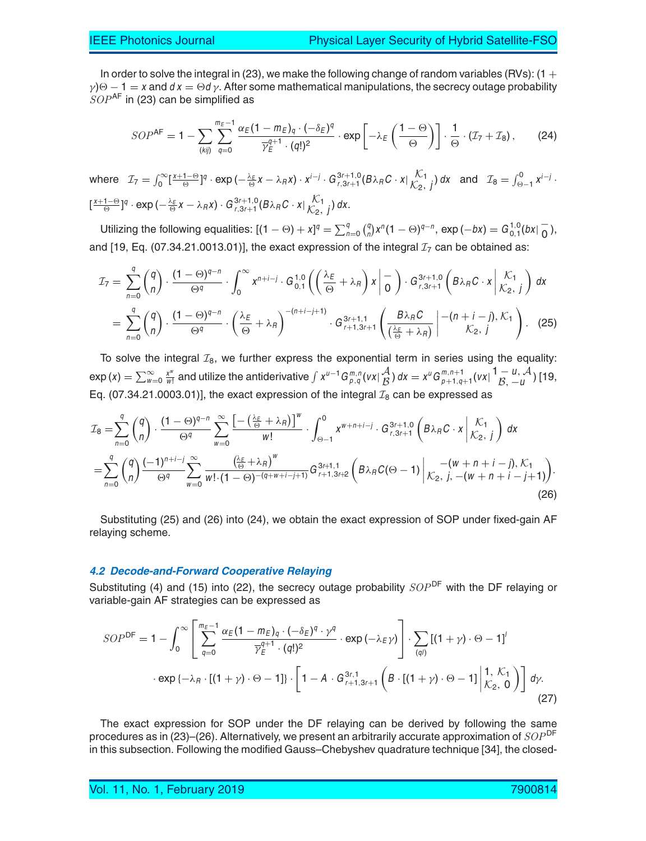In order to solve the integral in (23), we make the following change of random variables (RVs):  $(1 +$  $y$ ) $\Theta - 1 = x$  and  $dx = \Theta dy$ . After some mathematical manipulations, the secrecy outage probability  $SOP<sup>AF</sup>$  in (23) can be simplified as

$$
SOP^{AF} = 1 - \sum_{(kij)} \sum_{q=0}^{m_E - 1} \frac{\alpha_E (1 - m_E)_q \cdot (-\delta_E)^q}{\overline{\gamma}_E^{q+1} \cdot (q!)^2} \cdot \exp\left[-\lambda_E \left(\frac{1 - \Theta}{\Theta}\right)\right] \cdot \frac{1}{\Theta} \cdot (\mathcal{I}_7 + \mathcal{I}_8),\tag{24}
$$

where  $\mathcal{I}_7 = \int_0^\infty [\frac{x+1-\Theta}{\Theta}]^q \cdot \exp(-\frac{\lambda_F}{\Theta}x - \lambda_R x) \cdot x^{i-j} \cdot G_{r,3r+1}^{3r+1,0}(\mathcal{B} \lambda_R C \cdot x| \frac{\mathcal{K}_1}{\mathcal{K}_2},$  $\mathcal{K}_{1}^{(k+1)}(x)$  dx and  $\mathcal{I}_{8} = \int_{\Theta-1}^{0} x^{i-j}$ .  $\left[\frac{x+1-\Theta}{\Theta}\right]^{q}\cdot \exp\left(-\frac{\lambda_{E}}{\Theta}x-\lambda_{R}x\right)\cdot G_{r,3r+1}^{3r+1,0}(\theta\lambda_{R}C\cdot x)\frac{\mathcal{K}_{1}}{\mathcal{K}_{2}},$  $\bigwedge_{2}^{10}$ ,  $j$ ) dx.

Utilizing the following equalities:  $[(1 - \Theta) + x]^q = \sum_{n=0}^q {q \choose n} x^n (1 - \Theta)^{q-n}$ ,  $\exp(-bx) = G_{0,1}^{1,0}(bx | \overline{0})$ , and [19, Eq. (07.34.21.0013.01)], the exact expression of the integral  $I_7$  can be obtained as:

$$
\mathcal{I}_7 = \sum_{n=0}^q \binom{q}{n} \cdot \frac{(1-\Theta)^{q-n}}{\Theta^q} \cdot \int_0^\infty x^{n+i-j} \cdot G_{0,1}^{1,0} \left( \left( \frac{\lambda_E}{\Theta} + \lambda_R \right) x \Big|_0^{-1} \right) \cdot G_{r,3r+1}^{3r+1,0} \left( B\lambda_R C \cdot x \Big|_{\mathcal{K}_2}^{\mathcal{K}_1} \right) dx
$$
  
= 
$$
\sum_{n=0}^q \binom{q}{n} \cdot \frac{(1-\Theta)^{q-n}}{\Theta^q} \cdot \left( \frac{\lambda_E}{\Theta} + \lambda_R \right)^{-(n+i-j+1)} \cdot G_{r+1,3r+1}^{3r+1,1} \left( \frac{B\lambda_R C}{\left( \frac{\lambda_E}{\Theta} + \lambda_R \right)} \Big|_{\mathcal{K}_2}^{\mathcal{K}_1} \right). \tag{25}
$$

To solve the integral  $I_8$ , we further express the exponential term in series using the equality:  $\exp{(x)} = \sum_{w=0}^{\infty} \frac{x^w}{w!}$  and utilize the antiderivative  $\int x^{u-1} G_{p,q}^{m,n}(vx) \frac{\mathcal{A}}{\mathcal{B}}$  $\mathcal{A}_{\mathcal{B}}$ ) dx = x<sup>u</sup>G<sup>m,n+1</sup><sub>0+1,q+1</sub>(vx|  $\frac{1-u}{\beta,-u}$  $\overline{B}$ ,  $\overline{-u}$  (19, Eq. (07.34.21.0003.01)], the exact expression of the integral  $I_8$  can be expressed as

$$
\mathcal{I}_{8} = \sum_{n=0}^{q} {q \choose n} \cdot \frac{(1-\Theta)^{q-n}}{\Theta^{q}} \sum_{w=0}^{\infty} \frac{\left[-\left(\frac{\lambda_{E}}{\Theta} + \lambda_{R}\right)\right]^{w}}{w!} \cdot \int_{\Theta-1}^{0} x^{w+n+i-j} \cdot G_{r,3r+1}^{3r+1,0} \left(B\lambda_{R}C \cdot x \middle| \mathcal{K}_{1}\right) dx
$$
\n
$$
= \sum_{n=0}^{q} {q \choose n} \frac{(-1)^{n+i-j}}{\Theta^{q}} \sum_{w=0}^{\infty} \frac{\left(\frac{\lambda_{E}}{\Theta} + \lambda_{R}\right)^{w}}{w! \cdot (1-\Theta)^{-(q+w+i-j+1)}} G_{r+1,3r+2}^{3r+1,1} \left(B\lambda_{R}C(\Theta-1) \middle| \mathcal{K}_{2}, j, -(w+n+i-j+1) \right). \tag{26}
$$

Substituting (25) and (26) into (24), we obtain the exact expression of SOP under fixed-gain AF relaying scheme.

#### **4.2 Decode-and-Forward Cooperative Relaying**

Substituting (4) and (15) into (22), the secrecy outage probability  $SOP^{DF}$  with the DF relaying or variable-gain AF strategies can be expressed as

$$
SOP^{DF} = 1 - \int_0^\infty \left[ \sum_{q=0}^{m_E - 1} \frac{\alpha_E (1 - m_E)_q \cdot (-\delta_E)^q \cdot \gamma^q}{\overline{\gamma}_E^{q+1} \cdot (q!)^2} \cdot \exp(-\lambda_E \gamma) \right] \cdot \sum_{(qI)} [(1 + \gamma) \cdot \Theta - 1]^I
$$

$$
\cdot \exp\{-\lambda_R \cdot [(1 + \gamma) \cdot \Theta - 1] \} \cdot \left[ 1 - A \cdot G_{r+1,3r+1}^{3r,1} \left( B \cdot [(1 + \gamma) \cdot \Theta - 1] \middle| \begin{array}{c} 1, & K_1 \\ K_2, & 0 \end{array} \right) \right] d\gamma.
$$
\n
$$
(27)
$$

The exact expression for SOP under the DF relaying can be derived by following the same procedures as in (23)–(26). Alternatively, we present an arbitrarily accurate approximation of  $SOP^{DF}$ in this subsection. Following the modified Gauss–Chebyshev quadrature technique [34], the closed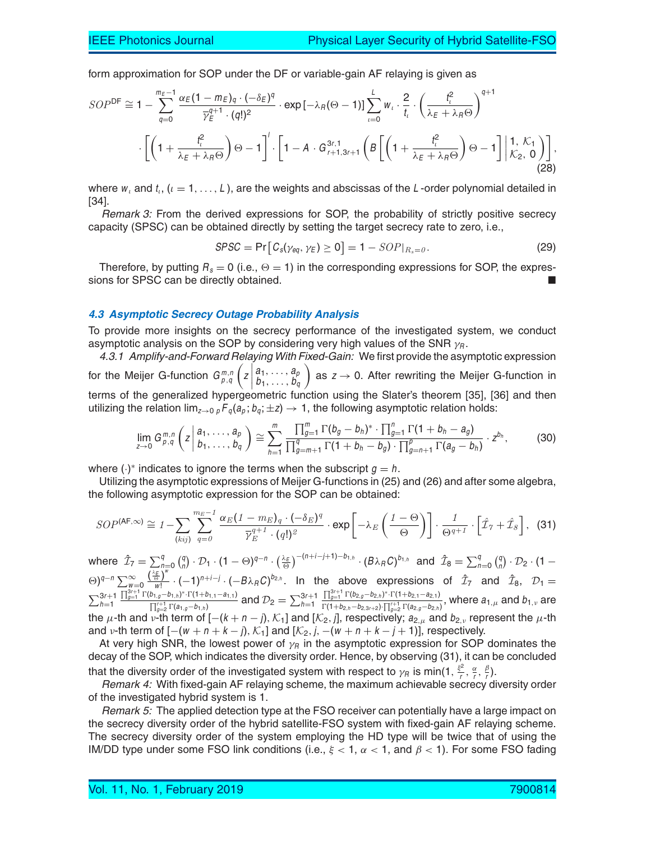form approximation for SOP under the DF or variable-gain AF relaying is given as

$$
SOP^{\mathsf{DF}} \cong 1 - \sum_{q=0}^{m_E - 1} \frac{\alpha_E (1 - m_E)_{q} \cdot (-\delta_E)^q}{\overline{\gamma}_E^{q+1} \cdot (q!)^2} \cdot \exp\left[-\lambda_R(\Theta - 1)\right] \sum_{\iota=0}^{L} w_{\iota} \cdot \frac{2}{t_{\iota}} \cdot \left(\frac{t_{\iota}^2}{\lambda_E + \lambda_R \Theta}\right)^{q+1} \cdot \left[\left(1 + \frac{t_{\iota}^2}{\lambda_E + \lambda_R \Theta}\right) \Theta - 1\right] \cdot \left[1 - A \cdot G_{\iota+1,3\iota+1}^{3\iota,1} \left(B\left[\left(1 + \frac{t_{\iota}^2}{\lambda_E + \lambda_R \Theta}\right) \Theta - 1\right]\right| \begin{matrix} 1, & K_1 \\ K_2, & 0 \end{matrix}\right],
$$
\n(28)

where  $w_{\iota}$  and  $t_{\iota}$ , ( $\iota = 1, \ldots, L$  ), are the weights and abscissas of the  $L$  -order polynomial detailed in [34].

*Remark 3:* From the derived expressions for SOP, the probability of strictly positive secrecy capacity (SPSC) can be obtained directly by setting the target secrecy rate to zero, i.e.,

$$
SPSC = \Pr\left[C_s(\gamma_{eq}, \gamma_E) \ge 0\right] = 1 - SOP|_{R_s = 0}.
$$
\n(29)

Therefore, by putting  $R_s = 0$  (i.e.,  $\Theta = 1$ ) in the corresponding expressions for SOP, the expressions for SPSC can be directly obtained.

#### **4.3 Asymptotic Secrecy Outage Probability Analysis**

To provide more insights on the secrecy performance of the investigated system, we conduct asymptotic analysis on the SOP by considering very high values of the SNR  $\gamma_B$ .

*4.3.1 Amplify-and-Forward Relaying With Fixed-Gain:* We first provide the asymptotic expression for the Meijer G-function  $G_{p,q}^{m,n}$  $\left( z\right)$  $a_1, \ldots, a_p$  $b_1,\ldots, b_q$ ) as  $z \rightarrow 0$ . After rewriting the Meijer G-function in terms of the generalized hypergeometric function using the Slater's theorem [35], [36] and then utilizing the relation  $\lim_{z\to 0}$   $_pF_q(a_p; b_q; \pm z) \to 1$ , the following asymptotic relation holds:

$$
\lim_{z \to 0} G_{p,q}^{m,n}\left(z\left|\begin{array}{l}a_1,\ldots,a_p \\ b_1,\ldots,b_q\end{array}\right.\right) \cong \sum_{h=1}^m \frac{\prod_{g=1}^m \Gamma(b_g-b_h)^* \cdot \prod_{g=1}^n \Gamma(1+b_h-a_g)}{\prod_{g=m+1}^q \Gamma(1+b_h-b_g) \cdot \prod_{g=n+1}^p \Gamma(a_g-b_h)} \cdot z^{b_h},
$$
(30)

where  $(\cdot)^*$  indicates to ignore the terms when the subscript  $g = h$ .

Utilizing the asymptotic expressions of Meijer G-functions in (25) and (26) and after some algebra, the following asymptotic expression for the SOP can be obtained:

$$
SOP^{(\mathsf{AF},\infty)} \cong 1 - \sum_{(kij)} \sum_{q=0}^{m_E - 1} \frac{\alpha_E (1 - m_E)_q \cdot (-\delta_E)^q}{\overline{\gamma}_E^{q+1} \cdot (q!)^2} \cdot \exp\left[ -\lambda_E \left( \frac{1 - \Theta}{\Theta} \right) \right] \cdot \frac{1}{\Theta^{q+1}} \cdot \left[ \hat{\mathcal{I}}_{\gamma} + \hat{\mathcal{I}}_{\delta} \right], \tag{31}
$$

where  $\hat{\mathcal{I}}_7 = \sum_{n=0}^q {q \choose n} \cdot \mathcal{D}_1 \cdot (1-\Theta)^{q-n} \cdot \left(\frac{\lambda_E}{\Theta}\right)^{-(n+i-j+1)-b_{1,h}} \cdot (B \lambda_R C)^{b_{1,h}}$  and  $\hat{\mathcal{I}}_8 = \sum_{n=0}^q {q \choose n} \cdot \mathcal{D}_2 \cdot (1-\Theta)^{n-1}$  $\Theta$ )<sup>q-n</sup>  $\sum_{w=0}^{\infty}$  $\left(\frac{\lambda E}{\Theta}\right)^w$  $\frac{1}{\phi}$ )  $\frac{1}{\phi}$  · (−1)<sup>n+i−j</sup> · (−B $\lambda_B C$ )<sup>b<sub>2,h</sub></sup>. In the above expressions of  $\hat{\mathcal{I}}_7$  and  $\hat{\mathcal{I}}_8$ ,  $\mathcal{D}_1 =$  $\sum_{h=1}^{3r+1}$  $\prod_{g=1}^{3r+1} \Gamma(b_{1,g}-b_{1,h})^* \cdot \Gamma(1+b_{1,1}-a_{1,1})$  $\frac{b_{1,g}-b_{1,h}+1(1+b_{1,1}-a_{1,1})}{\prod_{g=2}^{f+1}\Gamma(a_{1,g}-b_{1,h})}$  and  $\mathcal{D}_2=\sum_{h=1}^{3f+1}$  $\prod_{g=1}^{3r+1} \Gamma(b_{2,g}-b_{2,h})^* \cdot \Gamma(1+b_{2,1}-a_{2,1})$  $\frac{\Gamma_{1g=1} \Gamma(\nu_{2,g} - \nu_{2,h}) \cdot \Gamma(+\nu_{2,1} - \nu_{2,1})}{\Gamma(1+b_{2,h}-b_{2,3r+2}) \cdot \prod_{g=2}^{r+1} \Gamma(a_{2,g}-b_{2,h})}$ , where  $a_{1,\mu}$  and  $b_{1,\nu}$  are the  $\mu$ -th and v-th term of  $[-(k+n-j), \mathcal{K}_1]$  and  $[\mathcal{K}_2, j]$ , respectively;  $a_{2,\mu}$  and  $b_{2,\nu}$  represent the  $\mu$ -th and v-th term of  $[-(w + n + k - j), \mathcal{K}_1]$  and  $[\mathcal{K}_2, j, -(w + n + k - j + 1)]$ , respectively.

At very high SNR, the lowest power of  $\gamma_R$  in the asymptotic expression for SOP dominates the decay of the SOP, which indicates the diversity order. Hence, by observing (31), it can be concluded that the diversity order of the investigated system with respect to  $\gamma_R$  is min(1,  $\frac{\xi^2}{L}$  $\frac{\alpha}{r}, \frac{\alpha}{r}, \frac{\beta}{r}$ ).

*Remark 4:* With fixed-gain AF relaying scheme, the maximum achievable secrecy diversity order of the investigated hybrid system is 1.

*Remark 5:* The applied detection type at the FSO receiver can potentially have a large impact on the secrecy diversity order of the hybrid satellite-FSO system with fixed-gain AF relaying scheme. The secrecy diversity order of the system employing the HD type will be twice that of using the IM/DD type under some FSO link conditions (i.e.,  $\xi$  < 1,  $\alpha$  < 1, and  $\beta$  < 1). For some FSO fading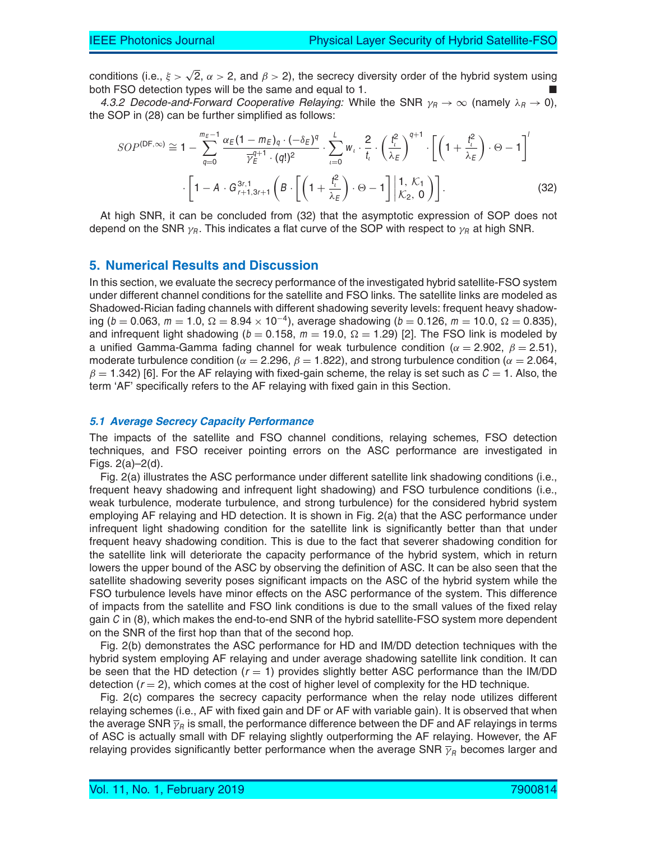conditions (i.e.,  $\xi > \sqrt{2}$ ,  $\alpha > 2$ , and  $\beta > 2$ ), the secrecy diversity order of the hybrid system using both FSO detection types will be the same and equal to 1.

*4.3.2 Decode-and-Forward Cooperative Relaying:* While the SNR  $\gamma_R \rightarrow \infty$  (namely  $\lambda_R \rightarrow 0$ ), the SOP in (28) can be further simplified as follows:

$$
SOP^{(\mathsf{DF},\infty)} \cong 1 - \sum_{q=0}^{m_E - 1} \frac{\alpha_E (1 - m_E)_{q} \cdot (-\delta_E)^q}{\overline{\gamma}_E^{q+1} \cdot (q!)^2} \cdot \sum_{\iota=0}^{L} w_{\iota} \cdot \frac{2}{t_{\iota}} \cdot \left(\frac{t_{\iota}^2}{\lambda_E}\right)^{q+1} \cdot \left[\left(1 + \frac{t_{\iota}^2}{\lambda_E}\right) \cdot \Theta - 1\right]'
$$

$$
\cdot \left[1 - A \cdot G_{\iota+1,3\iota+1}^{3\iota+1} \left(B \cdot \left[\left(1 + \frac{t_{\iota}^2}{\lambda_E}\right) \cdot \Theta - 1\right] \middle| \begin{array}{c} 1, \mathcal{K}_1 \\ \mathcal{K}_2, 0 \end{array}\right)\right].
$$
(32)

At high SNR, it can be concluded from (32) that the asymptotic expression of SOP does not depend on the SNR  $\gamma_R$ . This indicates a flat curve of the SOP with respect to  $\gamma_R$  at high SNR.

# **5. Numerical Results and Discussion**

In this section, we evaluate the secrecy performance of the investigated hybrid satellite-FSO system under different channel conditions for the satellite and FSO links. The satellite links are modeled as Shadowed-Rician fading channels with different shadowing severity levels: frequent heavy shadowing (b = 0.063, m = 1.0,  $\Omega = 8.94 \times 10^{-4}$ ), average shadowing (b = 0.126, m = 10.0,  $\Omega = 0.835$ ), and infrequent light shadowing ( $b = 0.158$ ,  $m = 19.0$ ,  $\Omega = 1.29$ ) [2]. The FSO link is modeled by a unified Gamma-Gamma fading channel for weak turbulence condition ( $α = 2.902, β = 2.51$ ), moderate turbulence condition ( $\alpha = 2.296$ ,  $\beta = 1.822$ ), and strong turbulence condition ( $\alpha = 2.064$ ,  $\beta = 1.342)$  [6]. For the AF relaying with fixed-gain scheme, the relay is set such as  $C = 1$ . Also, the term 'AF' specifically refers to the AF relaying with fixed gain in this Section.

#### **5.1 Average Secrecy Capacity Performance**

The impacts of the satellite and FSO channel conditions, relaying schemes, FSO detection techniques, and FSO receiver pointing errors on the ASC performance are investigated in Figs. 2(a)–2(d).

Fig. 2(a) illustrates the ASC performance under different satellite link shadowing conditions (i.e., frequent heavy shadowing and infrequent light shadowing) and FSO turbulence conditions (i.e., weak turbulence, moderate turbulence, and strong turbulence) for the considered hybrid system employing AF relaying and HD detection. It is shown in Fig. 2(a) that the ASC performance under infrequent light shadowing condition for the satellite link is significantly better than that under frequent heavy shadowing condition. This is due to the fact that severer shadowing condition for the satellite link will deteriorate the capacity performance of the hybrid system, which in return lowers the upper bound of the ASC by observing the definition of ASC. It can be also seen that the satellite shadowing severity poses significant impacts on the ASC of the hybrid system while the FSO turbulence levels have minor effects on the ASC performance of the system. This difference of impacts from the satellite and FSO link conditions is due to the small values of the fixed relay gain C in (8), which makes the end-to-end SNR of the hybrid satellite-FSO system more dependent on the SNR of the first hop than that of the second hop.

Fig. 2(b) demonstrates the ASC performance for HD and IM/DD detection techniques with the hybrid system employing AF relaying and under average shadowing satellite link condition. It can be seen that the HD detection  $(r = 1)$  provides slightly better ASC performance than the IM/DD detection (*<sup>r</sup>* = 2), which comes at the cost of higher level of complexity for the HD technique.

Fig. 2(c) compares the secrecy capacity performance when the relay node utilizes different relaying schemes (i.e., AF with fixed gain and DF or AF with variable gain). It is observed that when the average SNR  $\overline{\gamma}_{\mathsf{F}}$  is small, the performance difference between the DF and AF relayings in terms of ASC is actually small with DF relaying slightly outperforming the AF relaying. However, the AF relaying provides significantly better performance when the average SNR  $\bar{\gamma}_R$  becomes larger and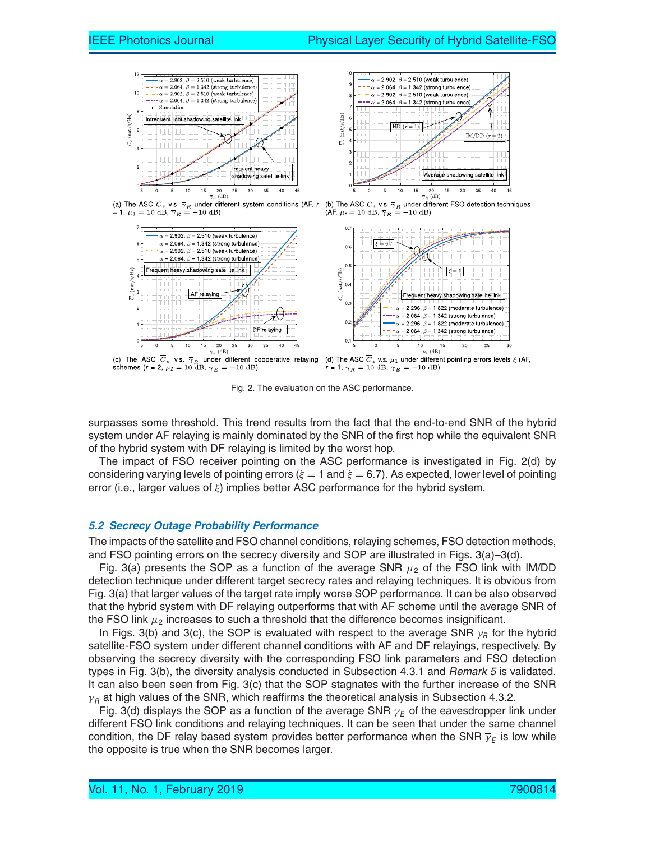



(a) The ASC  $\overline{C}_s$  v.s.  $\overline{\gamma}_R$  under different system conditions (AF, r (b) The ASC  $\overline{C}_s$  v.s.  $\overline{\gamma}_R$  under different FSO detection techniques = 1,  $\mu_1 = 10$  dB,  $\overline{\gamma}_E =$ (AF,  $\mu_r = 10$  dB,  $\overline{\gamma}_E$ :  $-10$  dB).  $-10$  dB).



Fig. 2. The evaluation on the ASC performance.

surpasses some threshold. This trend results from the fact that the end-to-end SNR of the hybrid system under AF relaying is mainly dominated by the SNR of the first hop while the equivalent SNR of the hybrid system with DF relaying is limited by the worst hop.

The impact of FSO receiver pointing on the ASC performance is investigated in Fig. 2(d) by considering varying levels of pointing errors ( $\xi = 1$  and  $\xi = 6.7$ ). As expected, lower level of pointing error (i.e., larger values of  $\xi$ ) implies better ASC performance for the hybrid system.

#### **5.2 Secrecy Outage Probability Performance**

The impacts of the satellite and FSO channel conditions, relaying schemes, FSO detection methods, and FSO pointing errors on the secrecy diversity and SOP are illustrated in Figs. 3(a)–3(d).

Fig. 3(a) presents the SOP as a function of the average SNR  $\mu_2$  of the FSO link with IM/DD detection technique under different target secrecy rates and relaying techniques. It is obvious from Fig. 3(a) that larger values of the target rate imply worse SOP performance. It can be also observed that the hybrid system with DF relaying outperforms that with AF scheme until the average SNR of the FSO link  $\mu_2$  increases to such a threshold that the difference becomes insignificant.

In Figs. 3(b) and 3(c), the SOP is evaluated with respect to the average SNR  $\gamma_R$  for the hybrid satellite-FSO system under different channel conditions with AF and DF relayings, respectively. By observing the secrecy diversity with the corresponding FSO link parameters and FSO detection types in Fig. 3(b), the diversity analysis conducted in Subsection 4.3.1 and *Remark 5* is validated. It can also been seen from Fig. 3(c) that the SOP stagnates with the further increase of the SNR  $\overline{\gamma}_R$  at high values of the SNR, which reaffirms the theoretical analysis in Subsection 4.3.2.

Fig. 3(d) displays the SOP as a function of the average SNR  $\bar{\gamma}_E$  of the eavesdropper link under different FSO link conditions and relaying techniques. It can be seen that under the same channel condition, the DF relay based system provides better performance when the SNR  $\overline{\gamma}_\mathsf{E}$  is low while the opposite is true when the SNR becomes larger.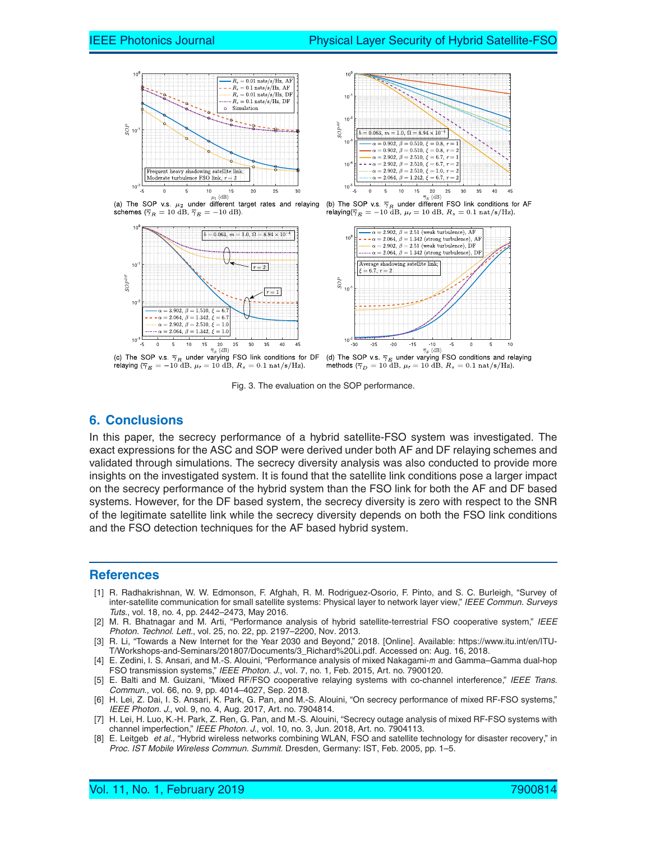

(a) The SOP v.s.  $\mu_2$  under different target rates and relaying (b) The SOP v.s.  $\overline{\gamma}_R$  under different FSO link conditions for AF relaying  $(\overline{\gamma}_E = -10$  dB,  $\mu_r = 10$  dB,  $R_s = 0.1$  nat/s/Hz). schemes ( $\overline{\gamma}_R = 10$  dB,  $\overline{\gamma}_E = -10$  dB).



Fig. 3. The evaluation on the SOP performance.

# **6. Conclusions**

In this paper, the secrecy performance of a hybrid satellite-FSO system was investigated. The exact expressions for the ASC and SOP were derived under both AF and DF relaying schemes and validated through simulations. The secrecy diversity analysis was also conducted to provide more insights on the investigated system. It is found that the satellite link conditions pose a larger impact on the secrecy performance of the hybrid system than the FSO link for both the AF and DF based systems. However, for the DF based system, the secrecy diversity is zero with respect to the SNR of the legitimate satellite link while the secrecy diversity depends on both the FSO link conditions and the FSO detection techniques for the AF based hybrid system.

#### **References**

- [1] R. Radhakrishnan, W. W. Edmonson, F. Afghah, R. M. Rodriguez-Osorio, F. Pinto, and S. C. Burleigh, "Survey of inter-satellite communication for small satellite systems: Physical layer to network layer view," *IEEE Commun. Surveys Tuts.*, vol. 18, no. 4, pp. 2442–2473, May 2016.
- [2] M. R. Bhatnagar and M. Arti, "Performance analysis of hybrid satellite-terrestrial FSO cooperative system," *IEEE Photon. Technol. Lett.*, vol. 25, no. 22, pp. 2197–2200, Nov. 2013.

[3] R. Li, "Towards a New Internet for the Year 2030 and Beyond," 2018. [Online]. Available: https://www.itu.int/en/ITU-T/Workshops-and-Seminars/201807/Documents/3\_Richard%20Li.pdf. Accessed on: Aug. 16, 2018.

[4] E. Zedini, I. S. Ansari, and M.-S. Alouini, "Performance analysis of mixed Nakagami-<sup>m</sup> and Gamma–Gamma dual-hop FSO transmission systems," *IEEE Photon. J.*, vol. 7, no. 1, Feb. 2015, Art. no. 7900120.

[5] E. Balti and M. Guizani, "Mixed RF/FSO cooperative relaying systems with co-channel interference," *IEEE Trans. Commun.*, vol. 66, no. 9, pp. 4014–4027, Sep. 2018.

- [6] H. Lei, Z. Dai, I. S. Ansari, K. Park, G. Pan, and M.-S. Alouini, "On secrecy performance of mixed RF-FSO systems," *IEEE Photon. J.*, vol. 9, no. 4, Aug. 2017, Art. no. 7904814.
- [7] H. Lei, H. Luo, K.-H. Park, Z. Ren, G. Pan, and M.-S. Alouini, "Secrecy outage analysis of mixed RF-FSO systems with channel imperfection," *IEEE Photon. J.*, vol. 10, no. 3, Jun. 2018, Art. no. 7904113.
- [8] E. Leitgeb *et al.*, "Hybrid wireless networks combining WLAN, FSO and satellite technology for disaster recovery," in *Proc. IST Mobile Wireless Commun. Summit*. Dresden, Germany: IST, Feb. 2005, pp. 1–5.